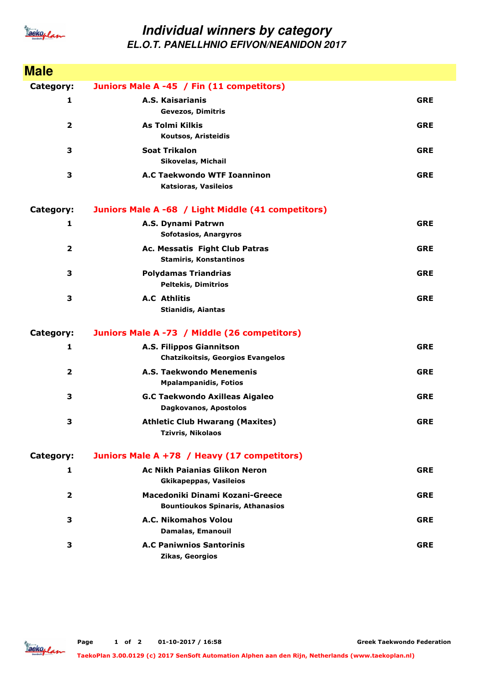

## **Individual winners by category EL.O.T. PANELLHNIO EFIVON/NEANIDON 2017**

| <b>Male</b>             |                                                                            |            |
|-------------------------|----------------------------------------------------------------------------|------------|
| Category:               | Juniors Male A -45 / Fin (11 competitors)                                  |            |
| 1                       | A.S. Kaisarianis<br><b>Gevezos, Dimitris</b>                               | <b>GRE</b> |
| $\overline{\mathbf{2}}$ | <b>As Tolmi Kilkis</b><br>Koutsos, Aristeidis                              | <b>GRE</b> |
| 3                       | <b>Soat Trikalon</b><br>Sikovelas, Michail                                 | <b>GRE</b> |
| 3                       | <b>A.C Taekwondo WTF Ioanninon</b><br>Katsioras, Vasileios                 | <b>GRE</b> |
| Category:               | Juniors Male A -68 / Light Middle (41 competitors)                         |            |
| 1                       | A.S. Dynami Patrwn<br><b>Sofotasios, Anargyros</b>                         | <b>GRE</b> |
| $\overline{\mathbf{2}}$ | Ac. Messatis Fight Club Patras<br><b>Stamiris, Konstantinos</b>            | <b>GRE</b> |
| 3                       | <b>Polydamas Triandrias</b><br><b>Peltekis, Dimitrios</b>                  | <b>GRE</b> |
| 3                       | <b>A.C</b> Athlitis<br><b>Stianidis, Aiantas</b>                           | <b>GRE</b> |
| Category:               | Juniors Male A -73 / Middle (26 competitors)                               |            |
| 1                       | A.S. Filippos Giannitson<br><b>Chatzikoitsis, Georgios Evangelos</b>       | <b>GRE</b> |
| $\overline{2}$          | A.S. Taekwondo Menemenis<br><b>Mpalampanidis, Fotios</b>                   | <b>GRE</b> |
| 3                       | <b>G.C Taekwondo Axilleas Aigaleo</b><br>Dagkovanos, Apostolos             | <b>GRE</b> |
| 3                       | <b>Athletic Club Hwarang (Maxites)</b><br><b>Tzivris, Nikolaos</b>         | <b>GRE</b> |
| Category:               | Juniors Male A +78 / Heavy (17 competitors)                                |            |
| 1                       | <b>Ac Nikh Paianias Glikon Neron</b><br><b>Gkikapeppas, Vasileios</b>      | <b>GRE</b> |
| $\mathbf{2}$            | Macedoniki Dinami Kozani-Greece<br><b>Bountioukos Spinaris, Athanasios</b> | <b>GRE</b> |
| 3                       | A.C. Nikomahos Volou<br><b>Damalas, Emanouil</b>                           | <b>GRE</b> |
| 3                       | <b>A.C Paniwnios Santorinis</b><br>Zikas, Georgios                         | <b>GRE</b> |



**Greek Taekwondo Federation**